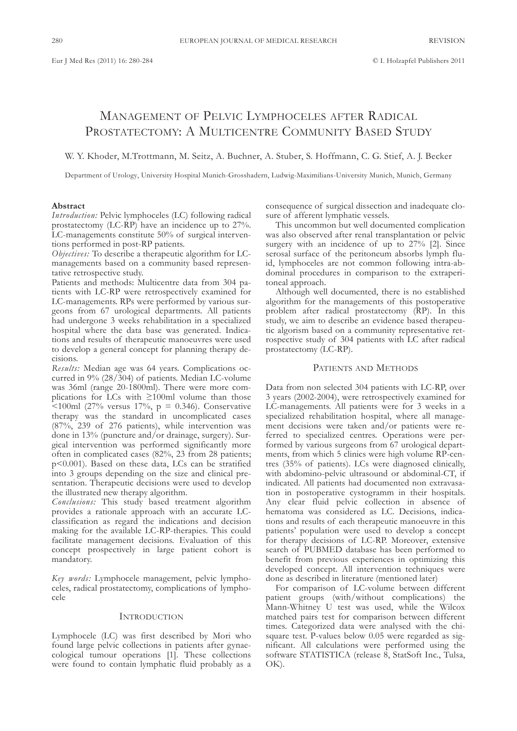# ManagEMEnt of PElvIc lyMPHocElEs aftER RadIcal PROSTATECTOMY: A MULTICENTRE COMMUNITY BASED STUDY

W. Y. Khoder, M.Trottmann, M. Seitz, A. Buchner, A. Stuber, S. Hoffmann, C. G. Stief, A. J. Becker

Department of Urology, University Hospital Munich-Grosshadern, Ludwig-Maximilians-University Munich, Munich, Germany

## **Abstract**

*Introduction:* Pelvic lymphoceles (LC) following radical prostatectomy (lc-RP) have an incidence up to 27%. LC-managements constitute 50% of surgical interventions performed in post-RP patients.

*Objectives:* To describe a therapeutic algorithm for LCmanagements based on a community based representative retrospective study.

Patients and methods: Multicentre data from 304 patients with LC-RP were retrospectively examined for LC-managements. RPs were performed by various surgeons from 67 urological departments. all patients had undergone 3 weeks rehabilitation in a specialized hospital where the data base was generated. Indications and results of therapeutic manoeuvres were used to develop a general concept for planning therapy decisions.

Results: Median age was 64 years. Complications occurred in 9% (28/304) of patients. Median LC-volume was 36ml (range 20-1800ml). There were more complications for LCs with  $\geq 100$ ml volume than those  $\leq$ 100ml (27% versus 17%, p = 0.346). Conservative therapy was the standard in uncomplicated cases (87%, 239 of 276 patients), while intervention was done in 13% (puncture and/or drainage, surgery). Surgical intervention was performed significantly more often in complicated cases (82%, 23 from 28 patients; p<0.001). Based on these data, LCs can be stratified into 3 groups depending on the size and clinical presentation. Therapeutic decisions were used to develop the illustrated new therapy algorithm.

*Conclusions:* this study based treatment algorithm provides a rationale approach with an accurate lcclassification as regard the indications and decision making for the available LC-RP-therapies. This could facilitate management decisions. Evaluation of this concept prospectively in large patient cohort is mandatory.

*Key words:* lymphocele management, pelvic lymphoceles, radical prostatectomy, complications of lymphocele

## **INTRODUCTION**

Lymphocele (LC) was first described by Mori who found large pelvic collections in patients after gynaecological tumour operations [1]. These collections were found to contain lymphatic fluid probably as a

consequence of surgical dissection and inadequate closure of afferent lymphatic vessels.

This uncommon but well documented complication was also observed after renal transplantation or pelvic surgery with an incidence of up to 27% [2]. Since serosal surface of the peritoneum absorbs lymph fluid, lymphoceles are not common following intra-abdominal procedures in comparison to the extraperitoneal approach.

although well documented, there is no established algorithm for the managements of this postoperative problem after radical prostatectomy (RP). In this study, we aim to describe an evidence based therapeutic algorism based on a community representative retrospective study of 304 patients with LC after radical prostatectomy (LC-RP).

# PATIENTS AND METHODS

Data from non selected 304 patients with LC-RP, over 3 years (2002-2004), were retrospectively examined for LC-managements. All patients were for 3 weeks in a specialized rehabilitation hospital, where all management decisions were taken and/or patients were referred to specialized centres. Operations were performed by various surgeons from 67 urological departments, from which 5 clinics were high volume RP-centres (35% of patients). LCs were diagnosed clinically, with abdomino-pelvic ultrasound or abdominal-CT, if indicated. all patients had documented non extravasation in postoperative cystogramm in their hospitals. Any clear fluid pelvic collection in absence of hematoma was considered as LC. Decisions, indications and results of each therapeutic manoeuvre in this patients' population were used to develop a concept for therapy decisions of LC-RP. Moreover, extensive search of PUBMED database has been performed to benefit from previous experiences in optimizing this developed concept. all intervention techniques were done as described in literature (mentioned later)

For comparison of LC-volume between different patient groups (with/without complications) the Mann-Whitney U test was used, while the Wilcox matched pairs test for comparison between different times. categorized data were analysed with the chisquare test. P-values below 0.05 were regarded as significant. all calculations were performed using the software STATISTICA (release 8, StatSoft Inc., Tulsa, oK).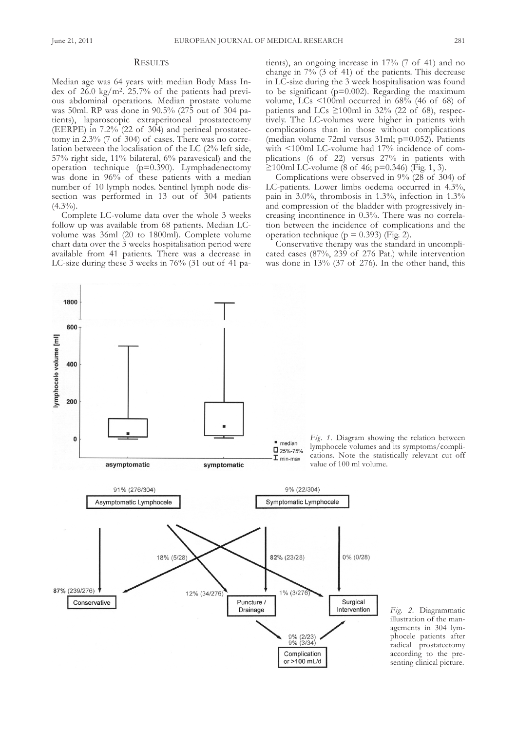1800

600

400

200

 $\pmb{0}$ 

lymphocele volume [ml]

#### **RESULTS**

Median age was 64 years with median Body Mass Index of 26.0 kg/m2. 25.7% of the patients had previous abdominal operations. Median prostate volume was 50ml. RP was done in 90.5% (275 out of 304 patients), laparoscopic extraperitoneal prostatectomy (EERPE) in  $7.2\%$  (22 of 304) and perineal prostatectomy in  $2.3\%$  (7 of 304) of cases. There was no correlation between the localisation of the LC  $(2\%$  left side, 57% right side, 11% bilateral, 6% paravesical) and the operation technique (p=0.390). lymphadenectomy was done in 96% of these patients with a median number of 10 lymph nodes. sentinel lymph node dissection was performed in 13 out of 304 patients  $(4.3\%)$ .

Complete LC-volume data over the whole 3 weeks follow up was available from 68 patients. Median LCvolume was 36ml (20 to 1800ml). complete volume chart data over the 3 weeks hospitalisation period were available from 41 patients. There was a decrease in LC-size during these  $3$  weeks in  $76\%$  (31 out of 41 patients), an ongoing increase in 17% (7 of 41) and no change in  $7\%$  (3 of 41) of the patients. This decrease in lc-size during the 3 week hospitalisation was found to be significant ( $p=0.002$ ). Regarding the maximum volume, LCs <100ml occurred in 68% (46 of 68) of patients and LCs  $\geq$ 100ml in 32% (22 of 68), respectively. The LC-volumes were higher in patients with complications than in those without complications (median volume 72ml versus 31ml; p=0.052). Patients with <100ml LC-volume had 17% incidence of complications (6 of 22) versus 27% in patients with  $≥100$ ml LC-volume (8 of 46; p=0.346) (Fig. 1, 3).

complications were observed in 9% (28 of 304) of LC-patients. Lower limbs oedema occurred in 4.3%, pain in 3.0%, thrombosis in 1.3%, infection in 1.3% and compression of the bladder with progressively increasing incontinence in  $0.3\%$ . There was no correlation between the incidence of complications and the operation technique ( $p = 0.393$ ) (Fig. 2).

conservative therapy was the standard in uncomplicated cases (87%, 239 of 276 Pat.) while intervention was done in 13% (37 of 276). In the other hand, this

*Fig.* 1. Diagram showing the relation between lymphocele volumes and its symptoms/complications. Note the statistically relevant cut off value of 100 ml volume.



 $m$ edian □ 25%-75%

Fig. 2. Diagrammatic illustration of the managements in 304 lymphocele patients after radical prostatectomy according to the presenting clinical picture.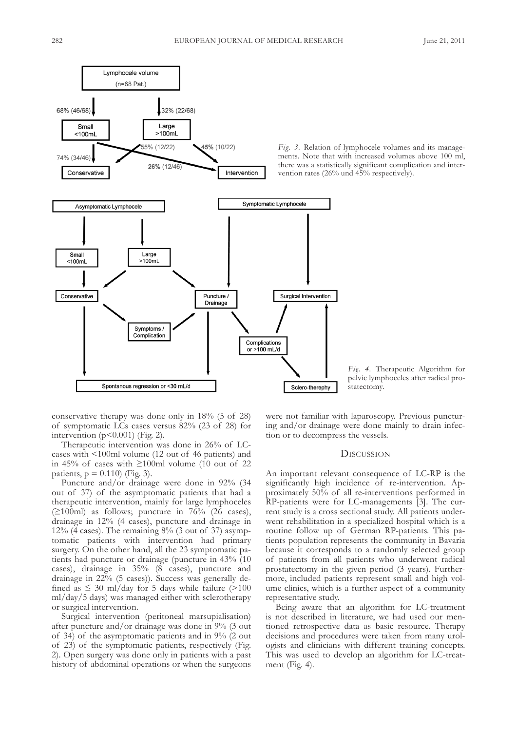

*Fig. 3.* Relation of lymphocele volumes and its managements. Note that with increased volumes above 100 ml, there was a statistically significant complication and intervention rates (26% und 45% respectively).

conservative therapy was done only in 18% (5 of 28) of symptomatic lcs cases versus 82% (23 of 28) for intervention  $(p<0.001)$  (Fig. 2).

Therapeutic intervention was done in 26% of LCcases with <100ml volume (12 out of 46 patients) and in 45% of cases with ≥100ml volume (10 out of 22 patients,  $p = 0.110$ ) (Fig. 3).

Puncture and/or drainage were done in 92% (34 out of 37) of the asymptomatic patients that had a therapeutic intervention, mainly for large lymphoceles  $(≥100ml)$  as follows; puncture in 76% (26 cases), drainage in 12% (4 cases), puncture and drainage in 12% (4 cases). The remaining  $8\%$  (3 out of 37) asymptomatic patients with intervention had primary surgery. On the other hand, all the 23 symptomatic patients had puncture or drainage (puncture in 43% (10 cases), drainage in 35% (8 cases), puncture and drainage in 22% (5 cases)). Success was generally defined as  $\leq 30$  ml/day for 5 days while failure (>100 ml/day/5 days) was managed either with sclerotherapy or surgical intervention.

surgical intervention (peritoneal marsupialisation) after puncture and/or drainage was done in 9% (3 out of 34) of the asymptomatic patients and in 9% (2 out of 23) of the symptomatic patients, respectively (fig. 2). Open surgery was done only in patients with a past history of abdominal operations or when the surgeons

were not familiar with laparoscopy. Previous puncturing and/or drainage were done mainly to drain infection or to decompress the vessels.

statectomy.

*Fig. 4.* Therapeutic Algorithm for pelvic lymphoceles after radical pro-

#### **DISCUSSION**

An important relevant consequence of LC-RP is the significantly high incidence of re-intervention. Approximately 50% of all re-interventions performed in RP-patients were for LC-managements [3]. The current study is a cross sectional study. all patients underwent rehabilitation in a specialized hospital which is a routine follow up of German RP-patients. This patients population represents the community in Bavaria because it corresponds to a randomly selected group of patients from all patients who underwent radical prostatectomy in the given period (3 years). furthermore, included patients represent small and high volume clinics, which is a further aspect of a community representative study.

Being aware that an algorithm for LC-treatment is not described in literature, we had used our mentioned retrospective data as basic resource. Therapy decisions and procedures were taken from many urologists and clinicians with different training concepts. This was used to develop an algorithm for LC-treatment (fig. 4).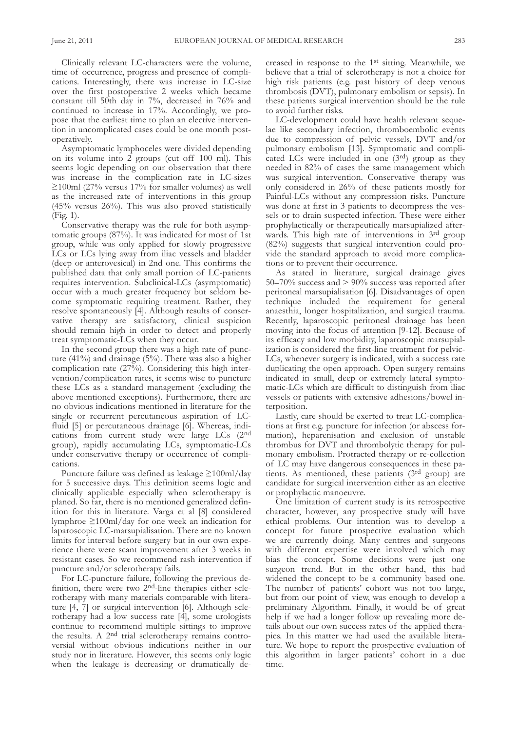Clinically relevant LC-characters were the volume, time of occurrence, progress and presence of complications. Interestingly, there was increase in LC-size over the first postoperative 2 weeks which became constant till 50th day in 7%, decreased in 76% and continued to increase in 17%. accordingly, we propose that the earliest time to plan an elective intervention in uncomplicated cases could be one month postoperatively.

asymptomatic lymphoceles were divided depending on its volume into  $2$  groups (cut off 100 ml). This seems logic depending on our observation that there was increase in the complication rate in LC-sizes  $\geq$ 100ml (27% versus 17% for smaller volumes) as well as the increased rate of interventions in this group  $(45\%$  versus  $26\%)$ . This was also proved statistically (fig. 1).

conservative therapy was the rule for both asymptomatic groups (87%). It was indicated for most of 1st group, while was only applied for slowly progressive LCs or LCs lying away from iliac vessels and bladder (deep or anterovesical) in 2nd one. This confirms the published data that only small portion of LC-patients requires intervention. subclinical-lcs (asymptomatic) occur with a much greater frequency but seldom become symptomatic requiring treatment. Rather, they resolve spontaneously [4]. although results of conservative therapy are satisfactory, clinical suspicion should remain high in order to detect and properly treat symptomatic-lcs when they occur.

In the second group there was a high rate of puncture (41%) and drainage (5%). There was also a higher complication rate (27%). Considering this high intervention/complication rates, it seems wise to puncture these LCs as a standard management (excluding the above mentioned exceptions). furthermore, there are no obvious indications mentioned in literature for the single or recurrent percutaneous aspiration of LCfluid [5] or percutaneous drainage [6]. Whereas, indications from current study were large LCs (2nd group), rapidly accumulating LCs, symptomatic-LCs under conservative therapy or occurrence of complications.

Puncture failure was defined as leakage ≥100ml/day for 5 successive days. This definition seems logic and clinically applicable especially when sclerotherapy is planed. so far, there is no mentioned generalized definition for this in literature. varga et al [8] considered lymphroe ≥100ml/day for one week an indication for laparoscopic LC-marsupialisation. There are no known limits for interval before surgery but in our own experience there were scant improvement after 3 weeks in resistant cases. so we recommend rash intervention if puncture and/or sclerotherapy fails.

for lc-puncture failure, following the previous definition, there were two 2nd-line therapies either sclerotherapy with many materials comparable with literature [4, 7] or surgical intervention [6]. Although sclerotherapy had a low success rate [4], some urologists continue to recommend multiple sittings to improve the results. A 2<sup>nd</sup> trial sclerotherapy remains controversial without obvious indications neither in our study nor in literature. However, this seems only logic when the leakage is decreasing or dramatically de-

creased in response to the 1st sitting. Meanwhile, we believe that a trial of sclerotherapy is not a choice for high risk patients (e.g. past history of deep venous thrombosis (DVT), pulmonary embolism or sepsis). In these patients surgical intervention should be the rule to avoid further risks.

LC-development could have health relevant sequelae like secondary infection, thromboembolic events due to compression of pelvic vessels,  $DVT$  and/or pulmonary embolism [13]. symptomatic and complicated LCs were included in one (3<sup>rd</sup>) group as they needed in 82% of cases the same management which was surgical intervention. Conservative therapy was only considered in 26% of these patients mostly for Painful-lcs without any compression risks. Puncture was done at first in 3 patients to decompress the vessels or to drain suspected infection. These were either prophylactically or therapeutically marsupialized afterwards. This high rate of interventions in 3rd group (82%) suggests that surgical intervention could provide the standard approach to avoid more complications or to prevent their occurrence.

As stated in literature, surgical drainage gives 50–70% success and > 90% success was reported after peritoneal marsupialisation [6]. Disadvantages of open technique included the requirement for general anaesthia, longer hospitalization, and surgical trauma. Recently, laparoscopic peritoneal drainage has been moving into the focus of attention [9-12]. Because of its efficacy and low morbidity, laparoscopic marsupialization is considered the first-line treatment for pelvic-LCs, whenever surgery is indicated, with a success rate duplicating the open approach. Open surgery remains indicated in small, deep or extremely lateral symptomatic-lcs which are difficult to distinguish from iliac vessels or patients with extensive adhesions/bowel interposition.

Lastly, care should be exerted to treat LC-complications at first e.g. puncture for infection (or abscess formation), heparenisation and exclusion of unstable thrombus for DVT and thrombolytic therapy for pulmonary embolism. Protracted therapy or re-collection of lc may have dangerous consequences in these patients. As mentioned, these patients (3rd group) are candidate for surgical intervention either as an elective or prophylactic manoeuvre.

One limitation of current study is its retrospective character, however, any prospective study will have ethical problems. Our intention was to develop a concept for future prospective evaluation which we are currently doing. Many centres and surgeons with different expertise were involved which may bias the concept. Some decisions were just one surgeon trend. But in the other hand, this had widened the concept to be a community based one. The number of patients' cohort was not too large, but from our point of view, was enough to develop a preliminary algorithm. finally, it would be of great help if we had a longer follow up revealing more details about our own success rates of the applied therapies. In this matter we had used the available literature. We hope to report the prospective evaluation of this algorithm in larger patients' cohort in a due time.